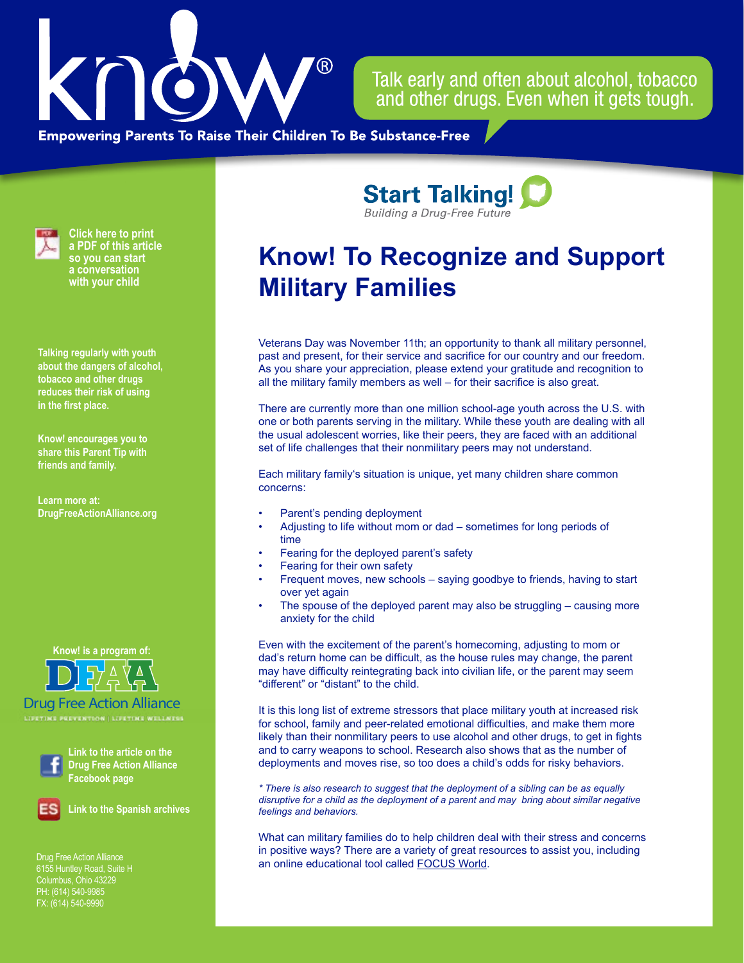

Talk early and often about alcohol, tobacco and other drugs. Even when it gets tough.

**Empowering Parents To Raise Their Children To Be Substance-Free** 



**Click here to print a PDF of this article so you can start a conversation with your child**

**Talking regularly with youth about the dangers of alcohol, tobacco and other drugs reduces their risk of using in the first place.**

**Know! encourages you to share this Parent Tip with friends and family.**

**Learn more at: [DrugFreeActionAlliance.org](https://www.drugfreeactionalliance.org/)**





Drug Free Action Alliance



**Link to the article on the Drug Free Action Alliance Facebook page**



**Link to the Spanish archives**

Drug Free Action Alliance Columbus, Ohio 43229 PH: (614) 540-9985 FX: (614) 540-9990

**Start Talking! Building a Drug-Free Future** 

## **Know! To Recognize and Support Military Families**

Veterans Day was November 11th; an opportunity to thank all military personnel, past and present, for their service and sacrifice for our country and our freedom. As you share your appreciation, please extend your gratitude and recognition to all the military family members as well – for their sacrifice is also great.

There are currently more than one million school-age youth across the U.S. with one or both parents serving in the military. While these youth are dealing with all the usual adolescent worries, like their peers, they are faced with an additional set of life challenges that their nonmilitary peers may not understand.

Each military family's situation is unique, yet many children share common concerns:

- Parent's pending deployment
- Adjusting to life without mom or dad sometimes for long periods of time
- Fearing for the deployed parent's safety
- Fearing for their own safety
- Frequent moves, new schools saying goodbye to friends, having to start over yet again
- The spouse of the deployed parent may also be struggling causing more anxiety for the child

Even with the excitement of the parent's homecoming, adjusting to mom or dad's return home can be difficult, as the house rules may change, the parent may have difficulty reintegrating back into civilian life, or the parent may seem "different" or "distant" to the child.

It is this long list of extreme stressors that place military youth at increased risk for school, family and peer-related emotional difficulties, and make them more likely than their nonmilitary peers to use alcohol and other drugs, to get in fights and to carry weapons to school. Research also shows that as the number of deployments and moves rise, so too does a child's odds for risky behaviors.

*\* There is also research to suggest that the deployment of a sibling can be as equally disruptive for a child as the deployment of a parent and may bring about similar negative feelings and behaviors.*

What can military families do to help children deal with their stress and concerns in positive ways? There are a variety of great resources to assist you, including an online educational tool called [FOCUS World.](http://www.focusproject.org/focus-world-intro)